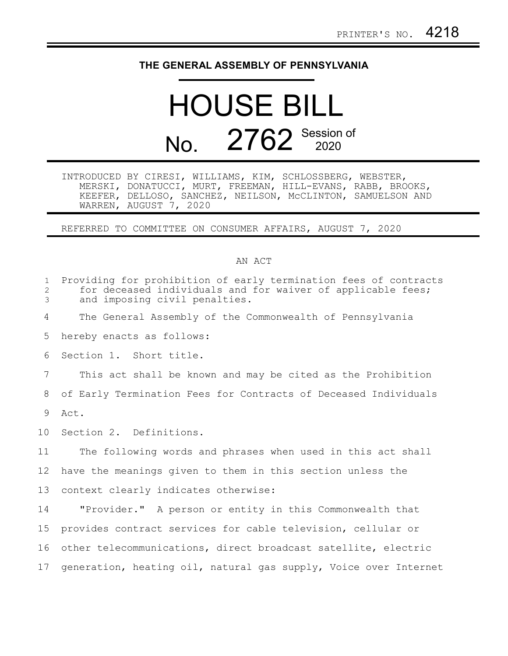## **THE GENERAL ASSEMBLY OF PENNSYLVANIA**

## HOUSE BILL No. 2762 Session of

|                        |  | INTRODUCED BY CIRESI, WILLIAMS, KIM, SCHLOSSBERG, WEBSTER,  |  |
|------------------------|--|-------------------------------------------------------------|--|
|                        |  | MERSKI, DONATUCCI, MURT, FREEMAN, HILL-EVANS, RABB, BROOKS, |  |
|                        |  | KEEFER, DELLOSO, SANCHEZ, NEILSON, MCCLINTON, SAMUELSON AND |  |
| WARREN, AUGUST 7, 2020 |  |                                                             |  |

REFERRED TO COMMITTEE ON CONSUMER AFFAIRS, AUGUST 7, 2020

## AN ACT

| $\mathbf{1}$<br>2<br>3 | Providing for prohibition of early termination fees of contracts<br>for deceased individuals and for waiver of applicable fees;<br>and imposing civil penalties. |
|------------------------|------------------------------------------------------------------------------------------------------------------------------------------------------------------|
| 4                      | The General Assembly of the Commonwealth of Pennsylvania                                                                                                         |
| 5                      | hereby enacts as follows:                                                                                                                                        |
| 6                      | Section 1. Short title.                                                                                                                                          |
| 7                      | This act shall be known and may be cited as the Prohibition                                                                                                      |
| 8                      | of Early Termination Fees for Contracts of Deceased Individuals                                                                                                  |
| 9                      | Act.                                                                                                                                                             |
| 10 <sub>1</sub>        | Section 2. Definitions.                                                                                                                                          |
| 11                     | The following words and phrases when used in this act shall                                                                                                      |
| 12                     | have the meanings given to them in this section unless the                                                                                                       |
| 13                     | context clearly indicates otherwise:                                                                                                                             |
| 14                     | "Provider." A person or entity in this Commonwealth that                                                                                                         |
| 15                     | provides contract services for cable television, cellular or                                                                                                     |
| 16                     | other telecommunications, direct broadcast satellite, electric                                                                                                   |
| 17                     | generation, heating oil, natural gas supply, Voice over Internet                                                                                                 |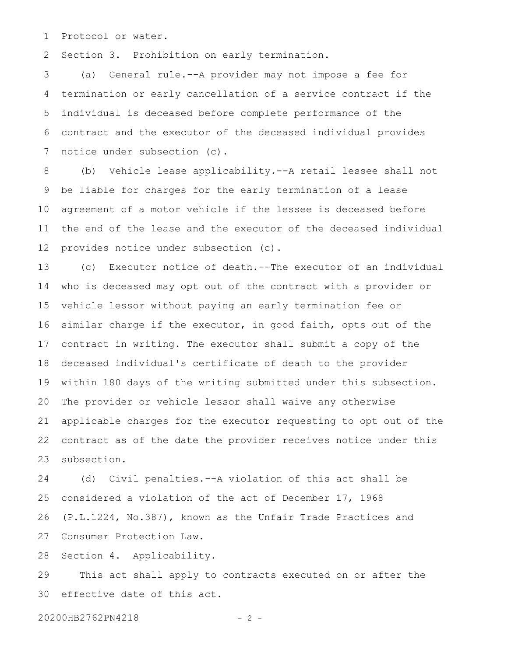Protocol or water. 1

Section 3. Prohibition on early termination. 2

(a) General rule.--A provider may not impose a fee for termination or early cancellation of a service contract if the individual is deceased before complete performance of the contract and the executor of the deceased individual provides notice under subsection (c). 3 4 5 6 7

(b) Vehicle lease applicability.--A retail lessee shall not be liable for charges for the early termination of a lease agreement of a motor vehicle if the lessee is deceased before the end of the lease and the executor of the deceased individual provides notice under subsection (c). 8 9 10 11 12

(c) Executor notice of death.--The executor of an individual who is deceased may opt out of the contract with a provider or vehicle lessor without paying an early termination fee or similar charge if the executor, in good faith, opts out of the contract in writing. The executor shall submit a copy of the deceased individual's certificate of death to the provider within 180 days of the writing submitted under this subsection. The provider or vehicle lessor shall waive any otherwise applicable charges for the executor requesting to opt out of the contract as of the date the provider receives notice under this subsection. 13 14 15 16 17 18 19 20 21 22 23

(d) Civil penalties.--A violation of this act shall be considered a violation of the act of December 17, 1968 (P.L.1224, No.387), known as the Unfair Trade Practices and Consumer Protection Law. 24 25 26 27

Section 4. Applicability. 28

This act shall apply to contracts executed on or after the effective date of this act. 29 30

20200HB2762PN4218 - 2 -